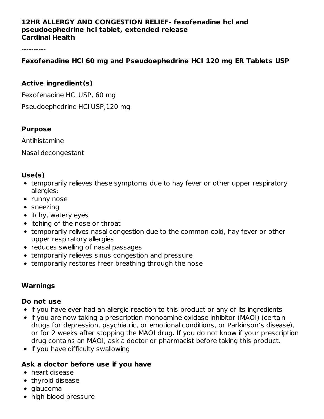#### **12HR ALLERGY AND CONGESTION RELIEF- fexofenadine hcl and pseudoephedrine hci tablet, extended release Cardinal Health**

----------

#### **Fexofenadine HCl 60 mg and Pseudoephedrine HCI 120 mg ER Tablets USP**

#### **Active ingredient(s)**

Fexofenadine HCl USP, 60 mg

Pseudoephedrine HCl USP,120 mg

#### **Purpose**

Antihistamine

Nasal decongestant

#### **Use(s)**

- temporarily relieves these symptoms due to hay fever or other upper respiratory allergies:
- runny nose
- sneezing
- itchy, watery eyes
- itching of the nose or throat
- temporarily relives nasal congestion due to the common cold, hay fever or other upper respiratory allergies
- reduces swelling of nasal passages
- temporarily relieves sinus congestion and pressure
- temporarily restores freer breathing through the nose

#### **Warnings**

#### **Do not use**

- if you have ever had an allergic reaction to this product or any of its ingredients
- if you are now taking a prescription monoamine oxidase inhibitor (MAOI) (certain drugs for depression, psychiatric, or emotional conditions, or Parkinson's disease), or for 2 weeks after stopping the MAOI drug. If you do not know if your prescription drug contains an MAOI, ask a doctor or pharmacist before taking this product.
- if you have difficulty swallowing

## **Ask a doctor before use if you have**

- heart disease
- thyroid disease
- glaucoma
- high blood pressure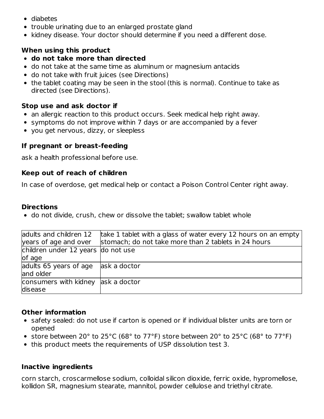- diabetes
- trouble urinating due to an enlarged prostate gland
- kidney disease. Your doctor should determine if you need a different dose.

## **When using this product**

- **do not take more than directed**
- do not take at the same time as aluminum or magnesium antacids
- do not take with fruit juices (see Directions)
- the tablet coating may be seen in the stool (this is normal). Continue to take as directed (see Directions).

## **Stop use and ask doctor if**

- an allergic reaction to this product occurs. Seek medical help right away.
- symptoms do not improve within 7 days or are accompanied by a fever
- you get nervous, dizzy, or sleepless

## **If pregnant or breast-feeding**

ask a health professional before use.

## **Keep out of reach of children**

In case of overdose, get medical help or contact a Poison Control Center right away.

## **Directions**

• do not divide, crush, chew or dissolve the tablet; swallow tablet whole

| adults and children 12              | take 1 tablet with a glass of water every 12 hours on an empty |
|-------------------------------------|----------------------------------------------------------------|
| years of age and over               | stomach; do not take more than 2 tablets in 24 hours           |
| children under 12 years do not use  |                                                                |
| of age                              |                                                                |
| adults 65 years of age ask a doctor |                                                                |
| and older                           |                                                                |
| consumers with kidney ask a doctor  |                                                                |
| disease                             |                                                                |

# **Other information**

- safety sealed: do not use if carton is opened or if individual blister units are torn or opened
- store between 20° to 25°C (68° to 77°F) store between 20° to 25°C (68° to 77°F)
- this product meets the requirements of USP dissolution test 3.

## **Inactive ingredients**

corn starch, croscarmellose sodium, colloidal silicon dioxide, ferric oxide, hypromellose, kollidon SR, magnesium stearate, mannitol, powder cellulose and triethyl citrate.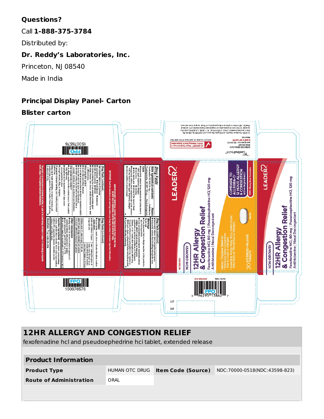## **Questions?**

Call **1-888-375-3784**

Distributed by:

## **Dr. Reddy's Laboratories, Inc.**

Princeton, NJ 08540

Made in India

# **Principal Display Panel- Carton**

## **Blister carton**



# **12HR ALLERGY AND CONGESTION RELIEF**

fexofenadine hcl and pseudoephedrine hci tablet, extended release

| <b>Product Information</b>     |                |                           |                               |  |  |  |  |  |  |  |
|--------------------------------|----------------|---------------------------|-------------------------------|--|--|--|--|--|--|--|
| <b>Product Type</b>            | HUMAN OTC DRUG | <b>Item Code (Source)</b> | NDC:70000-0518(NDC:43598-823) |  |  |  |  |  |  |  |
| <b>Route of Administration</b> | ORAL           |                           |                               |  |  |  |  |  |  |  |
|                                |                |                           |                               |  |  |  |  |  |  |  |